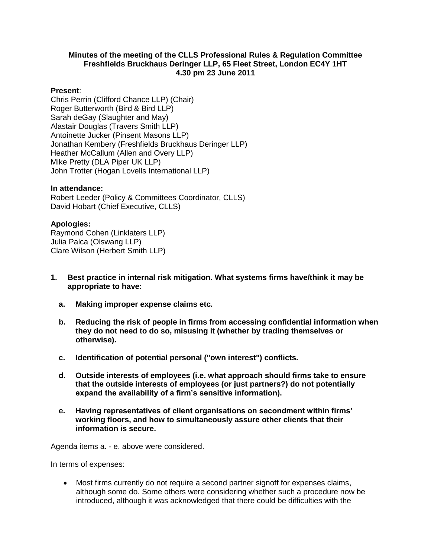#### **Minutes of the meeting of the CLLS Professional Rules & Regulation Committee Freshfields Bruckhaus Deringer LLP, 65 Fleet Street, London EC4Y 1HT 4.30 pm 23 June 2011**

#### **Present**:

Chris Perrin (Clifford Chance LLP) (Chair) Roger Butterworth (Bird & Bird LLP) Sarah deGay (Slaughter and May) Alastair Douglas (Travers Smith LLP) Antoinette Jucker (Pinsent Masons LLP) Jonathan Kembery (Freshfields Bruckhaus Deringer LLP) Heather McCallum (Allen and Overy LLP) Mike Pretty (DLA Piper UK LLP) John Trotter (Hogan Lovells International LLP)

#### **In attendance:**

Robert Leeder (Policy & Committees Coordinator, CLLS) David Hobart (Chief Executive, CLLS)

#### **Apologies:**

Raymond Cohen (Linklaters LLP) Julia Palca (Olswang LLP) Clare Wilson (Herbert Smith LLP)

- **1. Best practice in internal risk mitigation. What systems firms have/think it may be appropriate to have:**
	- **a. Making improper expense claims etc.**
	- **b. Reducing the risk of people in firms from accessing confidential information when they do not need to do so, misusing it (whether by trading themselves or otherwise).**
	- **c. Identification of potential personal ("own interest") conflicts.**
	- **d. Outside interests of employees (i.e. what approach should firms take to ensure that the outside interests of employees (or just partners?) do not potentially expand the availability of a firm's sensitive information).**
	- **e. Having representatives of client organisations on secondment within firms' working floors, and how to simultaneously assure other clients that their information is secure.**

Agenda items a. - e. above were considered.

In terms of expenses:

 Most firms currently do not require a second partner signoff for expenses claims, although some do. Some others were considering whether such a procedure now be introduced, although it was acknowledged that there could be difficulties with the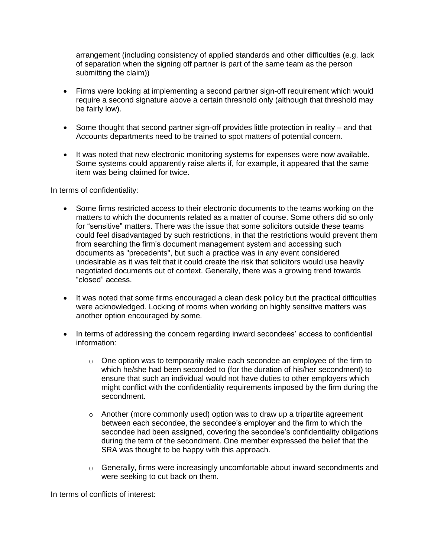arrangement (including consistency of applied standards and other difficulties (e.g. lack of separation when the signing off partner is part of the same team as the person submitting the claim))

- Firms were looking at implementing a second partner sign-off requirement which would require a second signature above a certain threshold only (although that threshold may be fairly low).
- Some thought that second partner sign-off provides little protection in reality and that Accounts departments need to be trained to spot matters of potential concern.
- It was noted that new electronic monitoring systems for expenses were now available. Some systems could apparently raise alerts if, for example, it appeared that the same item was being claimed for twice.

In terms of confidentiality:

- Some firms restricted access to their electronic documents to the teams working on the matters to which the documents related as a matter of course. Some others did so only for "sensitive" matters. There was the issue that some solicitors outside these teams could feel disadvantaged by such restrictions, in that the restrictions would prevent them from searching the firm's document management system and accessing such documents as "precedents", but such a practice was in any event considered undesirable as it was felt that it could create the risk that solicitors would use heavily negotiated documents out of context. Generally, there was a growing trend towards "closed" access.
- It was noted that some firms encouraged a clean desk policy but the practical difficulties were acknowledged. Locking of rooms when working on highly sensitive matters was another option encouraged by some.
- In terms of addressing the concern regarding inward secondees' access to confidential information:
	- $\circ$  One option was to temporarily make each secondee an employee of the firm to which he/she had been seconded to (for the duration of his/her secondment) to ensure that such an individual would not have duties to other employers which might conflict with the confidentiality requirements imposed by the firm during the secondment.
	- o Another (more commonly used) option was to draw up a tripartite agreement between each secondee, the secondee's employer and the firm to which the secondee had been assigned, covering the secondee's confidentiality obligations during the term of the secondment. One member expressed the belief that the SRA was thought to be happy with this approach.
	- o Generally, firms were increasingly uncomfortable about inward secondments and were seeking to cut back on them.

In terms of conflicts of interest: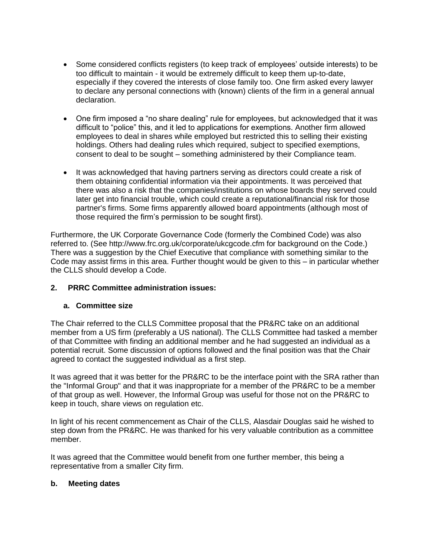- Some considered conflicts registers (to keep track of employees' outside interests) to be too difficult to maintain - it would be extremely difficult to keep them up-to-date, especially if they covered the interests of close family too. One firm asked every lawyer to declare any personal connections with (known) clients of the firm in a general annual declaration.
- One firm imposed a "no share dealing" rule for employees, but acknowledged that it was difficult to "police" this, and it led to applications for exemptions. Another firm allowed employees to deal in shares while employed but restricted this to selling their existing holdings. Others had dealing rules which required, subject to specified exemptions, consent to deal to be sought – something administered by their Compliance team.
- It was acknowledged that having partners serving as directors could create a risk of them obtaining confidential information via their appointments. It was perceived that there was also a risk that the companies/institutions on whose boards they served could later get into financial trouble, which could create a reputational/financial risk for those partner's firms. Some firms apparently allowed board appointments (although most of those required the firm's permission to be sought first).

Furthermore, the UK Corporate Governance Code (formerly the Combined Code) was also referred to. (See http://www.frc.org.uk/corporate/ukcgcode.cfm for background on the Code.) There was a suggestion by the Chief Executive that compliance with something similar to the Code may assist firms in this area. Further thought would be given to this – in particular whether the CLLS should develop a Code.

### **2. PRRC Committee administration issues:**

### **a. Committee size**

The Chair referred to the CLLS Committee proposal that the PR&RC take on an additional member from a US firm (preferably a US national). The CLLS Committee had tasked a member of that Committee with finding an additional member and he had suggested an individual as a potential recruit. Some discussion of options followed and the final position was that the Chair agreed to contact the suggested individual as a first step.

It was agreed that it was better for the PR&RC to be the interface point with the SRA rather than the "Informal Group" and that it was inappropriate for a member of the PR&RC to be a member of that group as well. However, the Informal Group was useful for those not on the PR&RC to keep in touch, share views on regulation etc.

In light of his recent commencement as Chair of the CLLS, Alasdair Douglas said he wished to step down from the PR&RC. He was thanked for his very valuable contribution as a committee member.

It was agreed that the Committee would benefit from one further member, this being a representative from a smaller City firm.

### **b. Meeting dates**